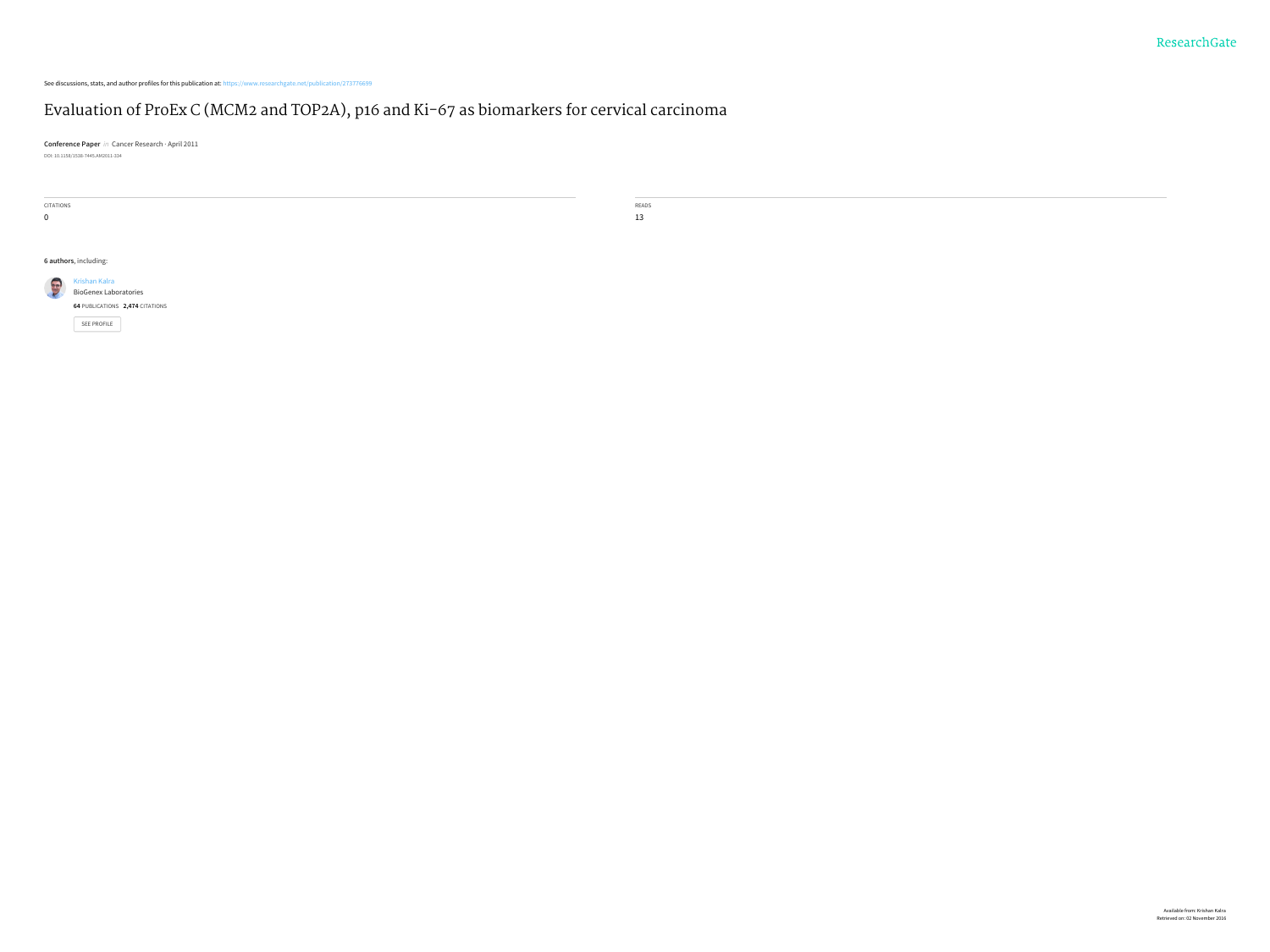See discussions, stats, and author profiles for this publication at: [https://www.researchgate.net/publication/273776699](https://www.researchgate.net/publication/273776699_Evaluation_of_ProEx_C_MCM2_and_TOP2A_p16_and_Ki-67_as_biomarkers_for_cervical_carcinoma?enrichId=rgreq-59d02aeec056cd3ab1ce0d8e894ca3de-XXX&enrichSource=Y292ZXJQYWdlOzI3Mzc3NjY5OTtBUzoyMDk0MTM4MjM1Njk5MjFAMTQyNjkzOTU1NDE1MQ%3D%3D&el=1_x_2)

### Evaluation of ProEx C (MCM2 and TOP2A), p16 and Ki-67 as [biomarkers](https://www.researchgate.net/publication/273776699_Evaluation_of_ProEx_C_MCM2_and_TOP2A_p16_and_Ki-67_as_biomarkers_for_cervical_carcinoma?enrichId=rgreq-59d02aeec056cd3ab1ce0d8e894ca3de-XXX&enrichSource=Y292ZXJQYWdlOzI3Mzc3NjY5OTtBUzoyMDk0MTM4MjM1Njk5MjFAMTQyNjkzOTU1NDE1MQ%3D%3D&el=1_x_3) for cervical carcinoma

**Conference Paper** in Cancer Research · April 2011 DOI: 10.1158/1538-7445.AM2011-334

| CITATIONS             |                                 | READS |  |  |
|-----------------------|---------------------------------|-------|--|--|
| $\overline{0}$        |                                 | 13    |  |  |
|                       |                                 |       |  |  |
|                       |                                 |       |  |  |
| 6 authors, including: |                                 |       |  |  |
|                       | Krishan Kalra                   |       |  |  |
|                       | <b>BioGenex Laboratories</b>    |       |  |  |
|                       | 64 PUBLICATIONS 2,474 CITATIONS |       |  |  |
|                       | SEE PROFILE                     |       |  |  |
|                       |                                 |       |  |  |
|                       |                                 |       |  |  |
|                       |                                 |       |  |  |